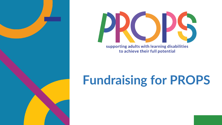



supporting adults with learning disabilities to achieve their full potential

## **Fundraising for PROPS**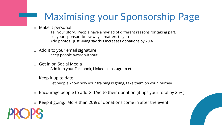## Maximising your Sponsorship Page

o Make it personal

Tell your story. People have a myriad of different reasons for taking part. Let your sponsors know why it matters to you Add photos. JustGiving say this increases donations by 20%

- o Add it to your email signature Keep people aware without
- o Get in on Social Media Add it to your Facebook, LinkedIn, Instagram etc.
- o Keep it up to date

Let people know how your training is going, take them on your journey

- o Encourage people to add GiftAid to their donation (it ups your total by 25%)
- $\circ$  Keep it going. More than 20% of donations come in after the event



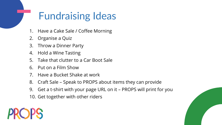## Fundraising Ideas

- 1. Have a Cake Sale / Coffee Morning
- 2. Organise a Quiz
- 3. Throw a Dinner Party
- 4. Hold a Wine Tasting
- 5. Take that clutter to a Car Boot Sale
- 6. Put on a Film Show
- 7. Have a Bucket Shake at work
- 8. Craft Sale Speak to PROPS about items they can provide
- 9. Get a t-shirt with your page URL on it PROPS will print for you
- 10. Get together with other riders